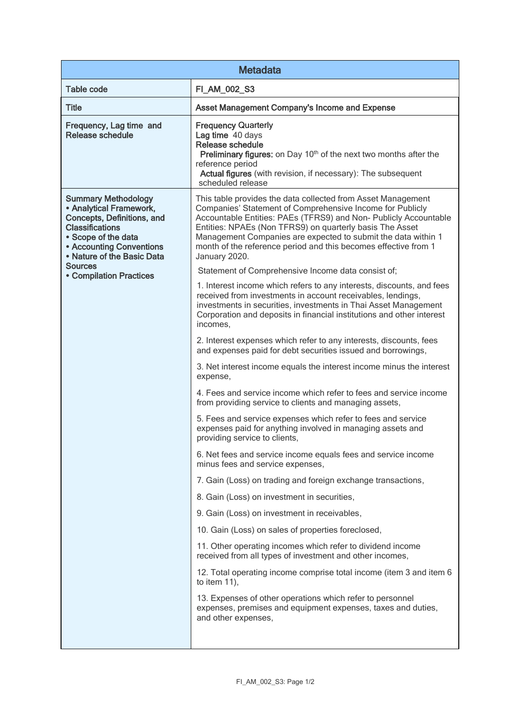| <b>Metadata</b>                                                                                                                                                                                                                                    |                                                                                                                                                                                                                                                                                                                                                                                                                |  |
|----------------------------------------------------------------------------------------------------------------------------------------------------------------------------------------------------------------------------------------------------|----------------------------------------------------------------------------------------------------------------------------------------------------------------------------------------------------------------------------------------------------------------------------------------------------------------------------------------------------------------------------------------------------------------|--|
| <b>Table code</b>                                                                                                                                                                                                                                  | FI_AM_002_S3                                                                                                                                                                                                                                                                                                                                                                                                   |  |
| <b>Title</b>                                                                                                                                                                                                                                       | Asset Management Company's Income and Expense                                                                                                                                                                                                                                                                                                                                                                  |  |
| Frequency, Lag time and<br><b>Release schedule</b>                                                                                                                                                                                                 | <b>Frequency Quarterly</b><br>Lag time 40 days<br><b>Release schedule</b><br>Preliminary figures: on Day 10 <sup>th</sup> of the next two months after the<br>reference period<br>Actual figures (with revision, if necessary): The subsequent<br>scheduled release                                                                                                                                            |  |
| <b>Summary Methodology</b><br>• Analytical Framework,<br>Concepts, Definitions, and<br><b>Classifications</b><br>• Scope of the data<br>• Accounting Conventions<br>• Nature of the Basic Data<br><b>Sources</b><br><b>• Compilation Practices</b> | This table provides the data collected from Asset Management<br>Companies' Statement of Comprehensive Income for Publicly<br>Accountable Entities: PAEs (TFRS9) and Non- Publicly Accountable<br>Entities: NPAEs (Non TFRS9) on quarterly basis The Asset<br>Management Companies are expected to submit the data within 1<br>month of the reference period and this becomes effective from 1<br>January 2020. |  |
|                                                                                                                                                                                                                                                    | Statement of Comprehensive Income data consist of;                                                                                                                                                                                                                                                                                                                                                             |  |
|                                                                                                                                                                                                                                                    | 1. Interest income which refers to any interests, discounts, and fees<br>received from investments in account receivables, lendings,<br>investments in securities, investments in Thai Asset Management<br>Corporation and deposits in financial institutions and other interest<br>incomes,                                                                                                                   |  |
|                                                                                                                                                                                                                                                    | 2. Interest expenses which refer to any interests, discounts, fees<br>and expenses paid for debt securities issued and borrowings,                                                                                                                                                                                                                                                                             |  |
|                                                                                                                                                                                                                                                    | 3. Net interest income equals the interest income minus the interest<br>expense,                                                                                                                                                                                                                                                                                                                               |  |
|                                                                                                                                                                                                                                                    | 4. Fees and service income which refer to fees and service income<br>from providing service to clients and managing assets,                                                                                                                                                                                                                                                                                    |  |
|                                                                                                                                                                                                                                                    | 5. Fees and service expenses which refer to fees and service<br>expenses paid for anything involved in managing assets and<br>providing service to clients,                                                                                                                                                                                                                                                    |  |
|                                                                                                                                                                                                                                                    | 6. Net fees and service income equals fees and service income<br>minus fees and service expenses,                                                                                                                                                                                                                                                                                                              |  |
|                                                                                                                                                                                                                                                    | 7. Gain (Loss) on trading and foreign exchange transactions,                                                                                                                                                                                                                                                                                                                                                   |  |
|                                                                                                                                                                                                                                                    | 8. Gain (Loss) on investment in securities,                                                                                                                                                                                                                                                                                                                                                                    |  |
|                                                                                                                                                                                                                                                    | 9. Gain (Loss) on investment in receivables,                                                                                                                                                                                                                                                                                                                                                                   |  |
|                                                                                                                                                                                                                                                    | 10. Gain (Loss) on sales of properties foreclosed,                                                                                                                                                                                                                                                                                                                                                             |  |
|                                                                                                                                                                                                                                                    | 11. Other operating incomes which refer to dividend income<br>received from all types of investment and other incomes,                                                                                                                                                                                                                                                                                         |  |
|                                                                                                                                                                                                                                                    | 12. Total operating income comprise total income (item 3 and item 6<br>to item $11$ ,                                                                                                                                                                                                                                                                                                                          |  |
|                                                                                                                                                                                                                                                    | 13. Expenses of other operations which refer to personnel<br>expenses, premises and equipment expenses, taxes and duties,<br>and other expenses,                                                                                                                                                                                                                                                               |  |
|                                                                                                                                                                                                                                                    |                                                                                                                                                                                                                                                                                                                                                                                                                |  |